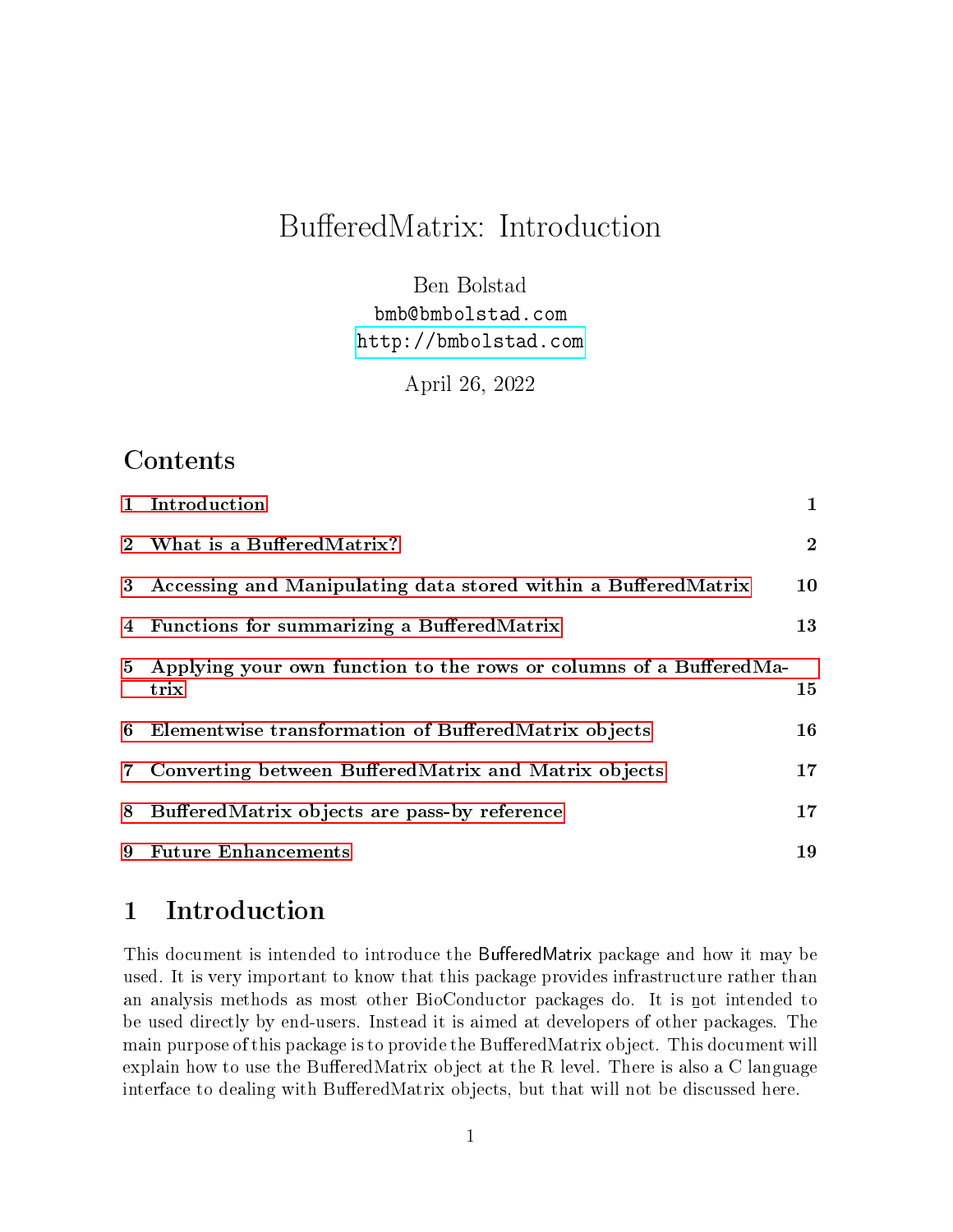# BufferedMatrix: Introduction

Ben Bolstad bmb@bmbolstad.com <http://bmbolstad.com>

April 26, 2022

## Contents

|   | 1 Introduction                                                       | 1              |
|---|----------------------------------------------------------------------|----------------|
|   | 2 What is a BufferedMatrix?                                          | $\overline{2}$ |
| 3 | Accessing and Manipulating data stored within a BufferedMatrix       | 10             |
|   | 4 Functions for summarizing a BufferedMatrix                         | 13             |
|   | 5 Applying your own function to the rows or columns of a BufferedMa- |                |
|   | trix                                                                 | 15             |
| 6 | Elementwise transformation of BufferedMatrix objects                 | 16             |
|   | 7 Converting between BufferedMatrix and Matrix objects               | 17             |
| 8 | Buffered Matrix objects are pass-by reference                        | $17\,$         |
| 9 | <b>Future Enhancements</b>                                           | 19             |

## <span id="page-0-0"></span>1 Introduction

This document is intended to introduce the BufferedMatrix package and how it may be used. It is very important to know that this package provides infrastructure rather than an analysis methods as most other BioConductor packages do. It is n ot intended to be used directly by end-users. Instead it is aimed at developers of other packages. The main purpose of this package is to provide the BufferedMatrix object. This document will explain how to use the BufferedMatrix object at the R level. There is also a C language interface to dealing with BufferedMatrix objects, but that will not be discussed here.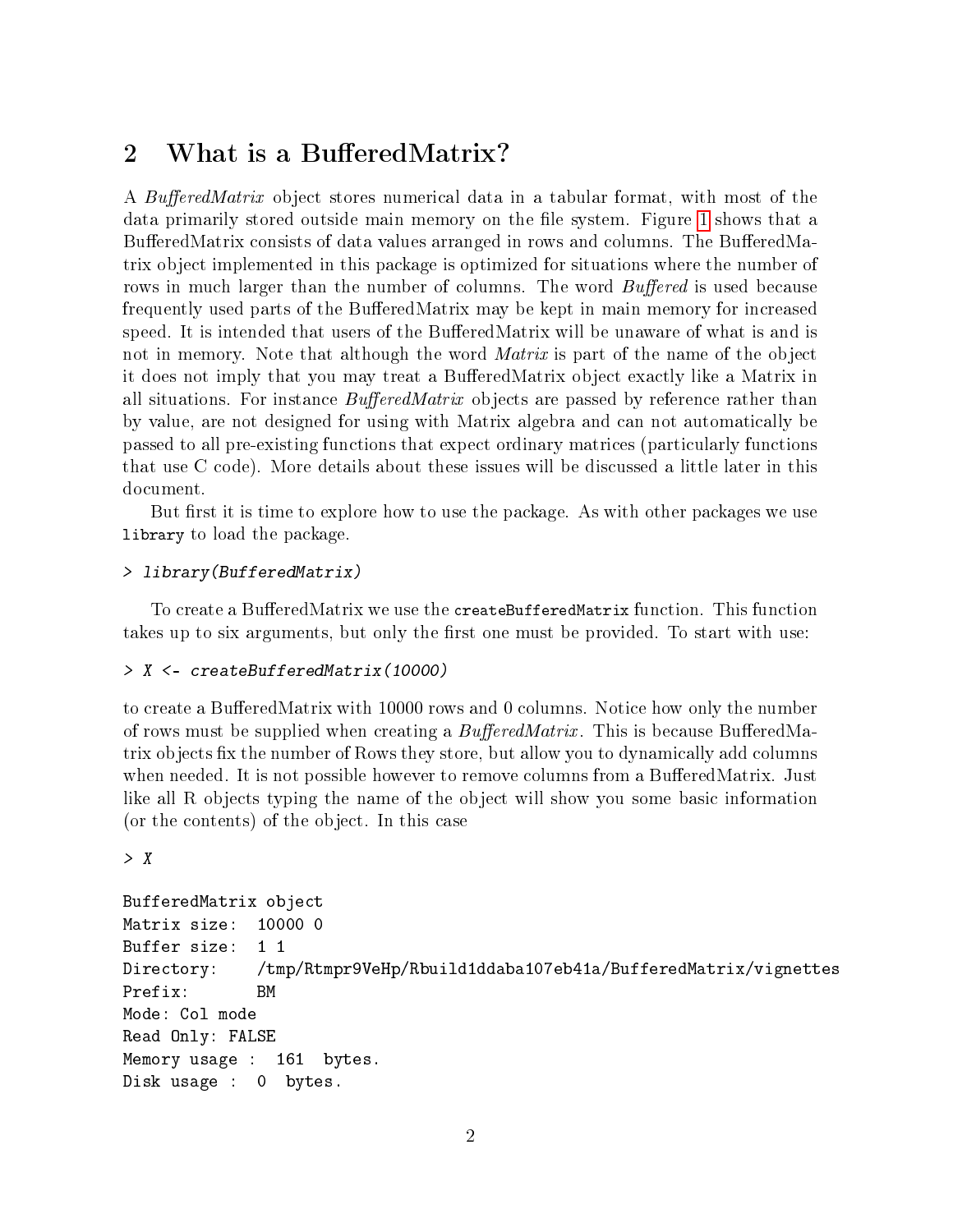## <span id="page-1-0"></span>2 What is a BufferedMatrix?

A BufferedMatrix object stores numerical data in a tabular format, with most of the data primarily stored outside main memory on the file system. Figure [1](#page-2-0) shows that a BufferedMatrix consists of data values arranged in rows and columns. The BufferedMatrix object implemented in this package is optimized for situations where the number of rows in much larger than the number of columns. The word *Buffered* is used because frequently used parts of the BufferedMatrix may be kept in main memory for increased speed. It is intended that users of the BufferedMatrix will be unaware of what is and is not in memory. Note that although the word *Matrix* is part of the name of the object it does not imply that you may treat a BufferedMatrix object exactly like a Matrix in all situations. For instance  $BufferedMatrix$  objects are passed by reference rather than by value, are not designed for using with Matrix algebra and can not automatically be passed to all pre-existing functions that expect ordinary matrices (particularly functions that use C code). More details about these issues will be discussed a little later in this document.

But first it is time to explore how to use the package. As with other packages we use library to load the package.

#### > library(BufferedMatrix)

To create a BufferedMatrix we use the createBufferedMatrix function. This function takes up to six arguments, but only the first one must be provided. To start with use:

#### > X <- createBufferedMatrix(10000)

to create a BufferedMatrix with 10000 rows and 0 columns. Notice how only the number of rows must be supplied when creating a  $BufferedMatrix$ . This is because BufferedMatrix objects fix the number of Rows they store, but allow you to dynamically add columns when needed. It is not possible however to remove columns from a BufferedMatrix. Just like all R objects typing the name of the object will show you some basic information (or the contents) of the object. In this case

> X

```
BufferedMatrix object
Matrix size: 10000 0
Buffer size: 1 1
Directory: /tmp/Rtmpr9VeHp/Rbuild1ddaba107eb41a/BufferedMatrix/vignettes
Prefix: BM
Mode: Col mode
Read Only: FALSE
Memory usage : 161 bytes.
Disk usage : 0 bytes.
```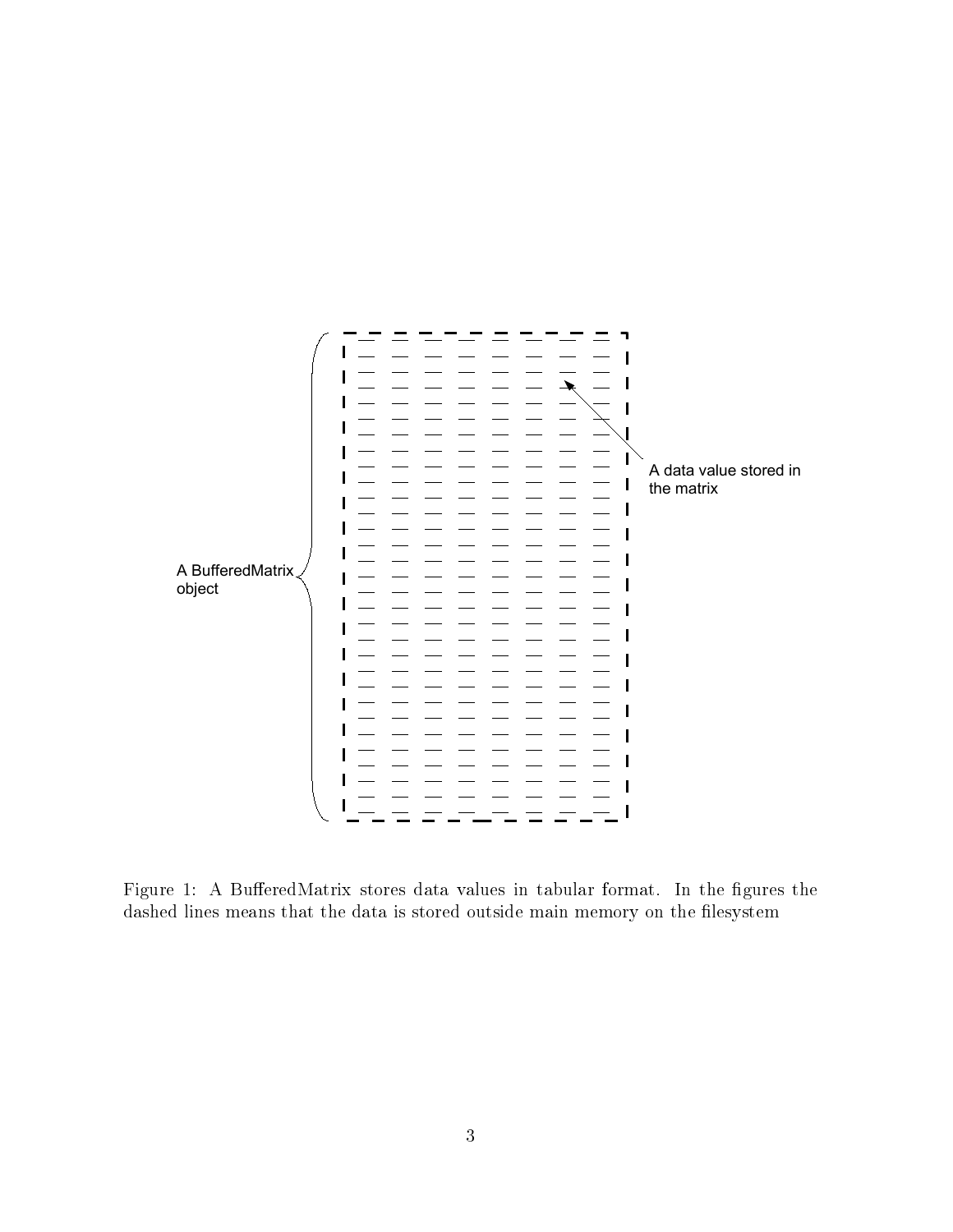

<span id="page-2-0"></span>Figure 1: A BufferedMatrix stores data values in tabular format. In the figures the dashed lines means that the data is stored outside main memory on the filesystem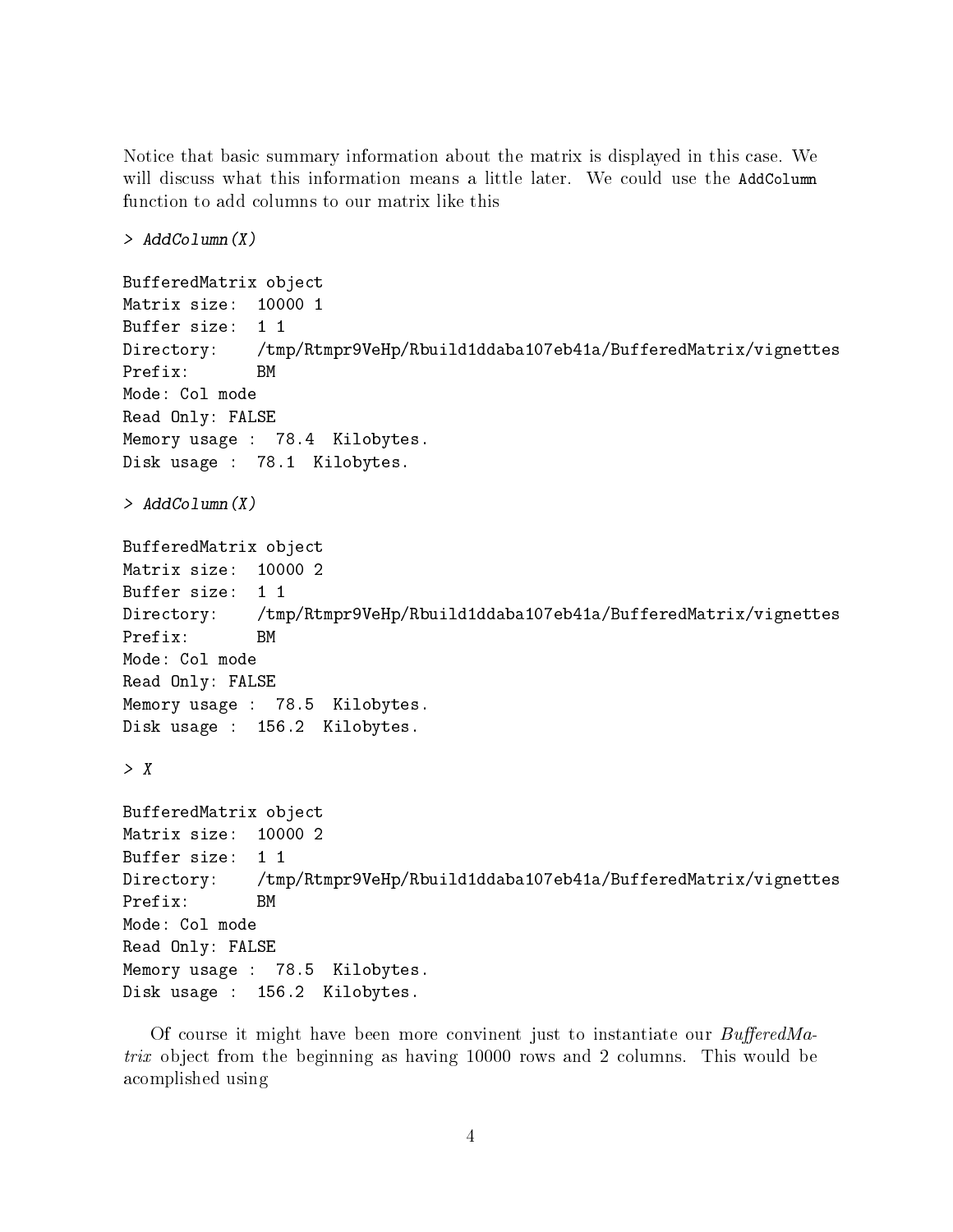Notice that basic summary information about the matrix is displayed in this case. We will discuss what this information means a little later. We could use the AddColumn function to add columns to our matrix like this

> AddColumn(X)

```
BufferedMatrix object
Matrix size: 10000 1
Buffer size: 1 1
Directory: /tmp/Rtmpr9VeHp/Rbuild1ddaba107eb41a/BufferedMatrix/vignettes
Prefix: BM
Mode: Col mode
Read Only: FALSE
Memory usage : 78.4 Kilobytes.
Disk usage : 78.1 Kilobytes.
> AddColumn(X)
BufferedMatrix object
Matrix size: 10000 2
Buffer size: 1 1
Directory: /tmp/Rtmpr9VeHp/Rbuild1ddaba107eb41a/BufferedMatrix/vignettes
Prefix: BM
Mode: Col mode
Read Only: FALSE
Memory usage : 78.5 Kilobytes.
Disk usage : 156.2 Kilobytes.
> XBufferedMatrix object
Matrix size: 10000 2
Buffer size: 1 1
Directory: /tmp/Rtmpr9VeHp/Rbuild1ddaba107eb41a/BufferedMatrix/vignettes
Prefix: BM
Mode: Col mode
Read Only: FALSE
Memory usage : 78.5 Kilobytes.
Disk usage : 156.2 Kilobytes.
```
Of course it might have been more convinent just to instantiate our  $BufferedMa$ trix object from the beginning as having 10000 rows and 2 columns. This would be acomplished using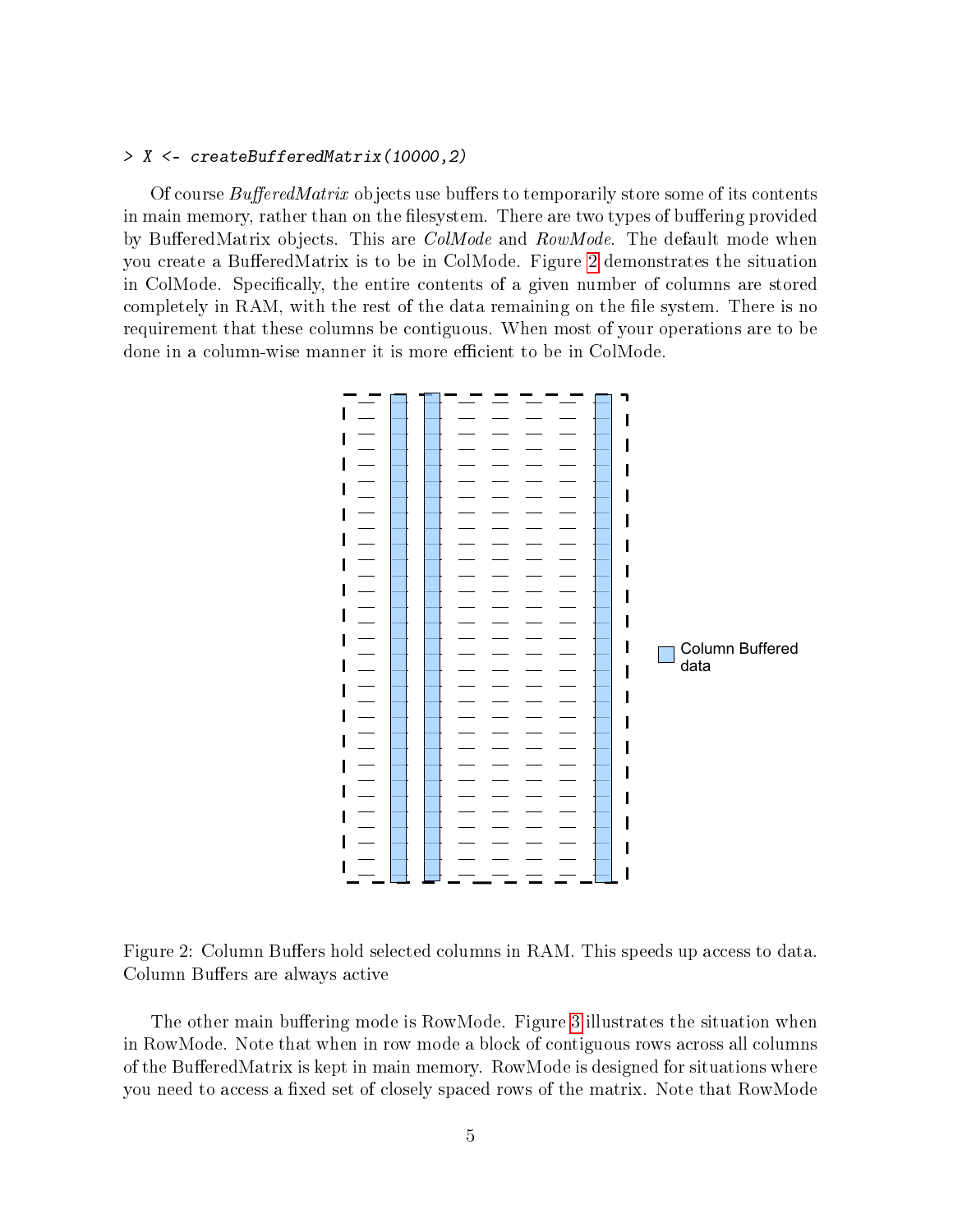#### > X <- createBufferedMatrix(10000,2)

Of course  $BufferedMatrix$  objects use buffers to temporarily store some of its contents in main memory, rather than on the filesystem. There are two types of buffering provided by BufferedMatrix objects. This are  $CollMode$  and  $RowMode$ . The default mode when you create a BufferedMatrix is to be in ColMode. Figure [2](#page-4-0) demonstrates the situation in ColMode. Specifically, the entire contents of a given number of columns are stored completely in RAM, with the rest of the data remaining on the file system. There is no requirement that these columns be contiguous. When most of your operations are to be done in a column-wise manner it is more efficient to be in ColMode.



<span id="page-4-0"></span>Figure 2: Column Buffers hold selected columns in RAM. This speeds up access to data. Column Buffers are always active

The other main buffering mode is RowMode. Figure [3](#page-5-0) illustrates the situation when in RowMode. Note that when in row mode a block of contiguous rows across all columns of the BufferedMatrix is kept in main memory. RowMode is designed for situations where you need to access a fixed set of closely spaced rows of the matrix. Note that RowMode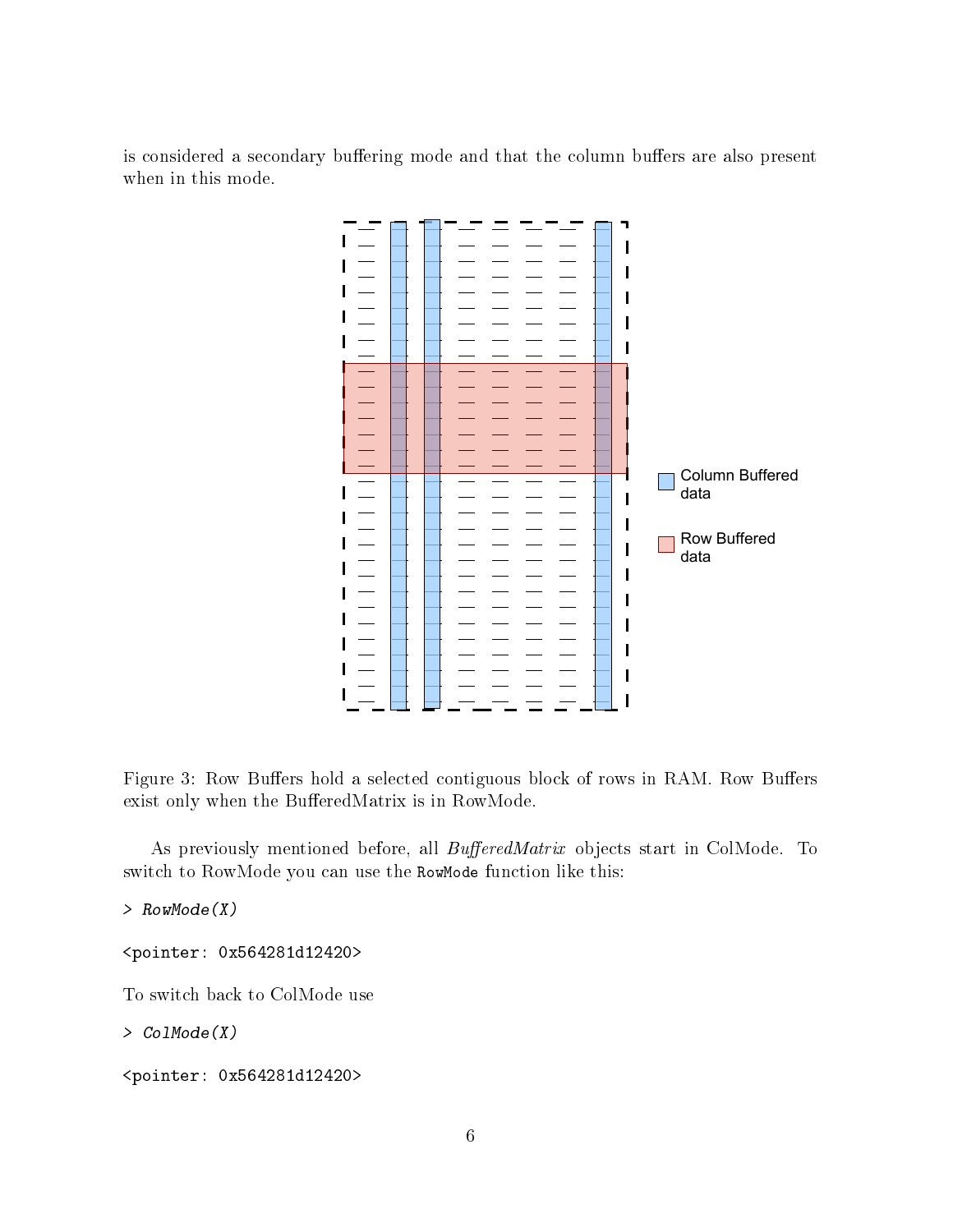is considered a secondary buffering mode and that the column buffers are also present when in this mode.



<span id="page-5-0"></span>Figure 3: Row Buffers hold a selected contiguous block of rows in RAM. Row Buffers exist only when the BufferedMatrix is in RowMode.

As previously mentioned before, all *BufferedMatrix* objects start in ColMode. To switch to RowMode you can use the RowMode function like this:

> RowMode(X)

<pointer: 0x564281d12420>

To switch back to ColMode use

> ColMode(X)

<pointer: 0x564281d12420>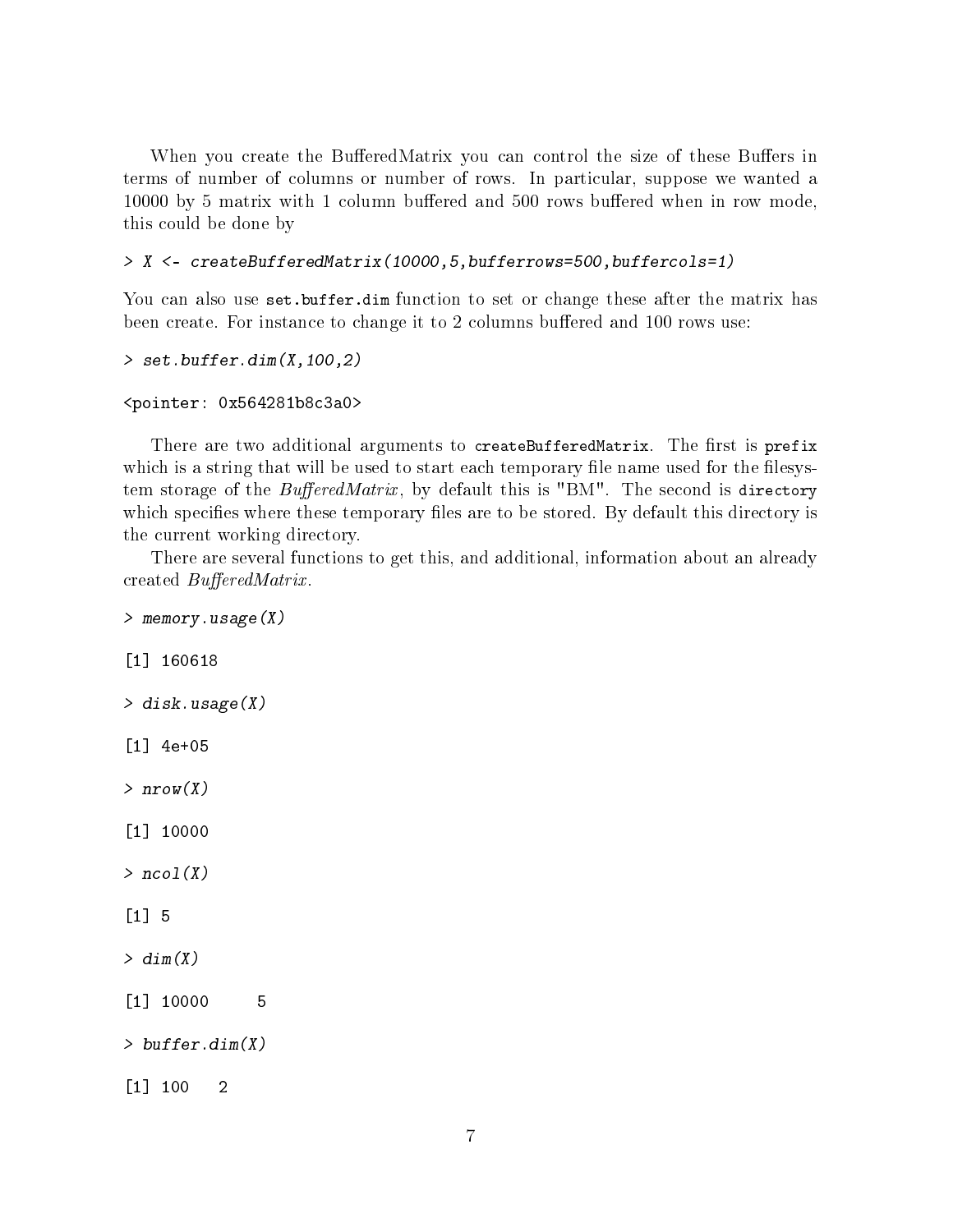When you create the BufferedMatrix you can control the size of these Buffers in terms of number of columns or number of rows. In particular, suppose we wanted a 10000 by 5 matrix with 1 column buffered and 500 rows buffered when in row mode. this could be done by

> X <- createBufferedMatrix(10000,5,bufferrows=500,buffercols=1)

You can also use set.buffer.dim function to set or change these after the matrix has been create. For instance to change it to 2 columns buffered and 100 rows use:

```
> set.buffer.dim(X,100,2)
```

```
<pointer: 0x564281b8c3a0>
```
There are two additional arguments to createBufferedMatrix. The first is prefix which is a string that will be used to start each temporary file name used for the filesystem storage of the  $BufferedMatrix$ , by default this is "BM". The second is directory which specifies where these temporary files are to be stored. By default this directory is the current working directory.

There are several functions to get this, and additional, information about an already created  $BufferedMatrix$ .

```
> memory.usage(X)
[1] 160618
> disk.usage(X)
[1] 4e+05
> nrow(X)[1] 10000
> ncol(X)[1] 5
> dim(X)[1] 10000 5
> buffer.dim(X)
[1] 100 2
```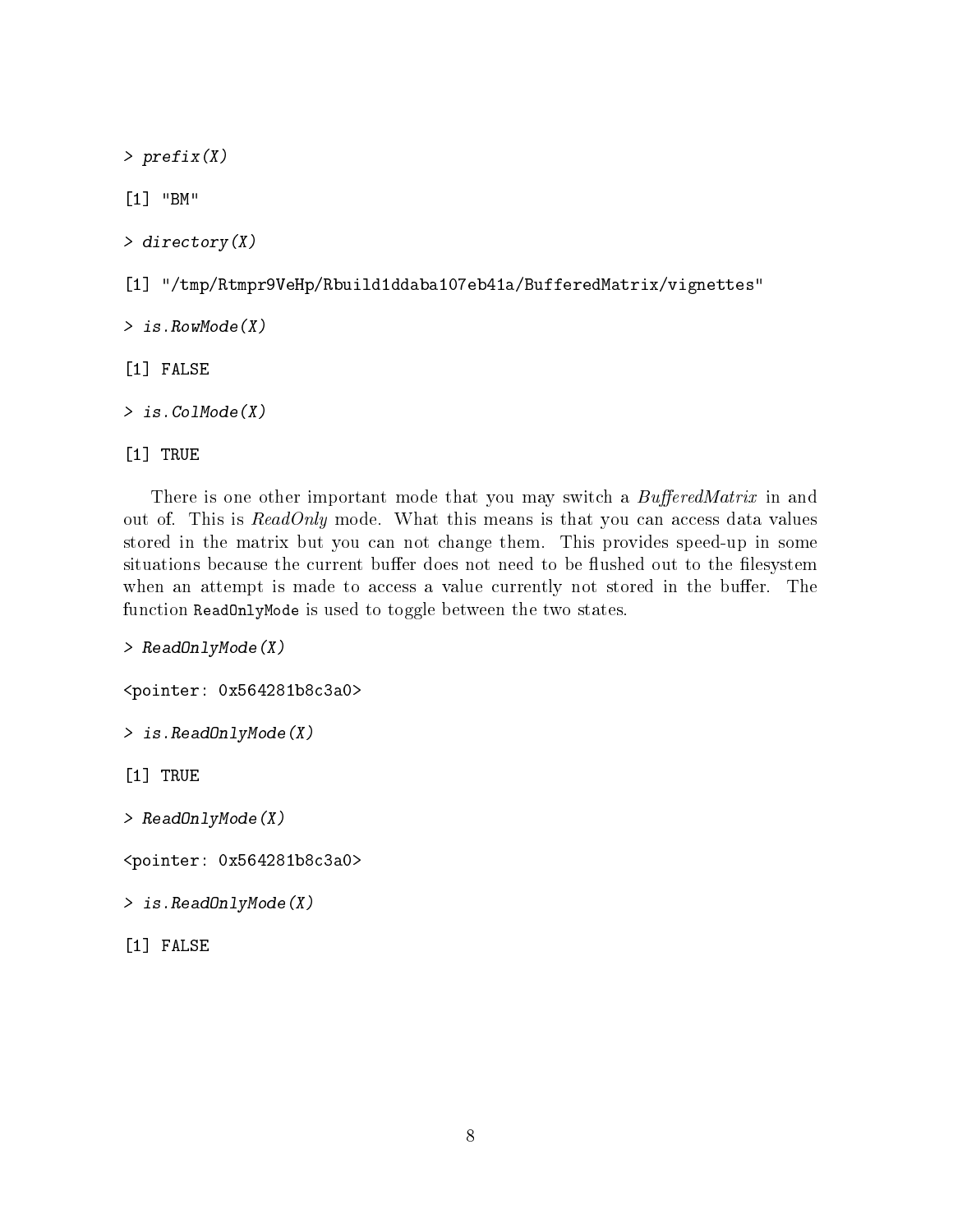> prefix(X)

[1] "BM"

> directory(X)

[1] "/tmp/Rtmpr9VeHp/Rbuild1ddaba107eb41a/BufferedMatrix/vignettes"

> is.RowMode(X)

[1] FALSE

> is.ColMode(X)

[1] TRUE

There is one other important mode that you may switch a BufferedMatrix in and out of. This is  $ReadOnly$  mode. What this means is that you can access data values stored in the matrix but you can not change them. This provides speed-up in some situations because the current buffer does not need to be flushed out to the filesystem when an attempt is made to access a value currently not stored in the buffer. The function ReadOnlyMode is used to toggle between the two states.

> ReadOnlyMode(X)

<pointer: 0x564281b8c3a0>

> is.ReadOnlyMode(X)

[1] TRUE

> ReadOnlyMode(X)

<pointer: 0x564281b8c3a0>

> is.ReadOnlyMode(X)

[1] FALSE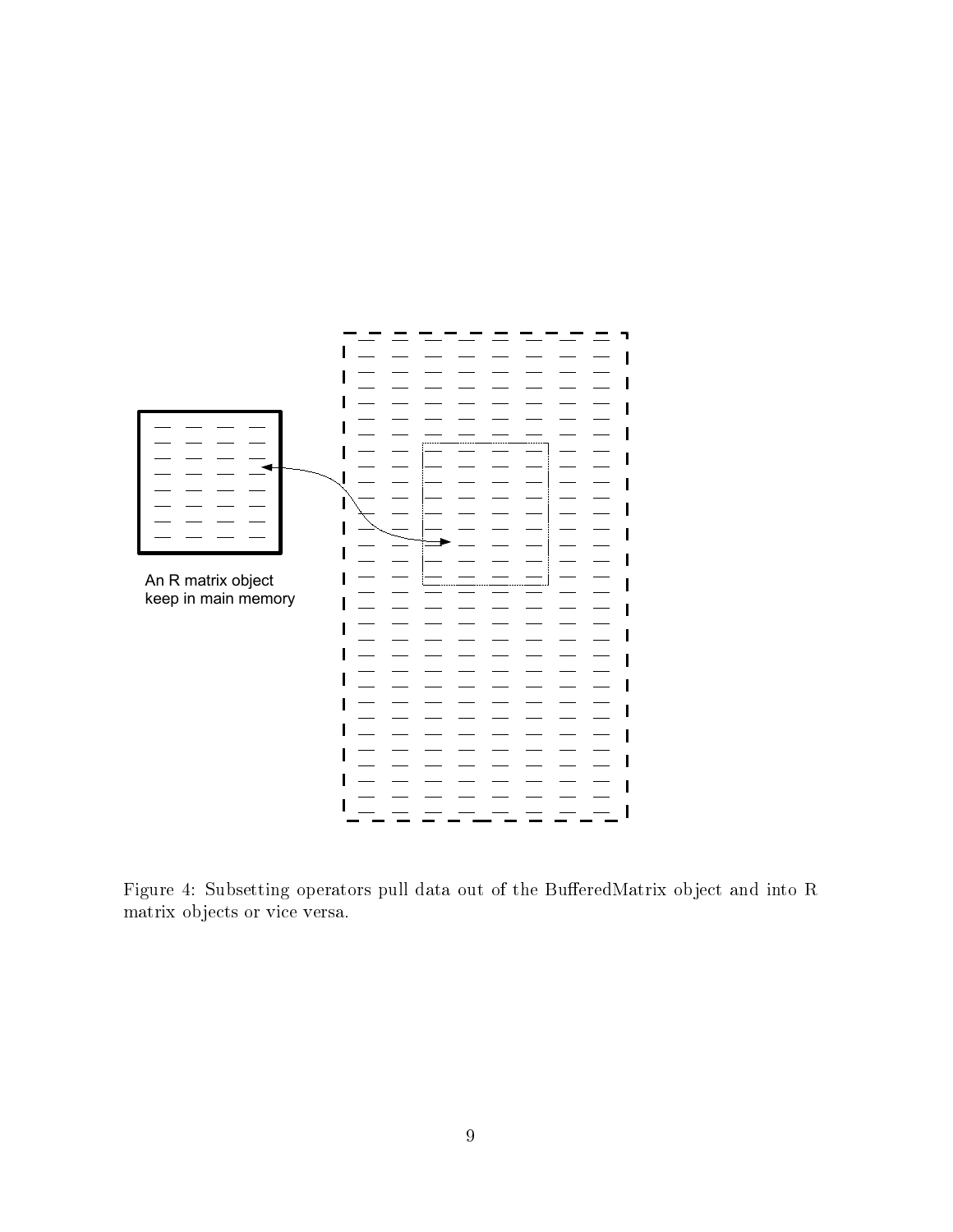

<span id="page-8-0"></span>Figure 4: Subsetting operators pull data out of the BufferedMatrix object and into R matrix objects or vice versa.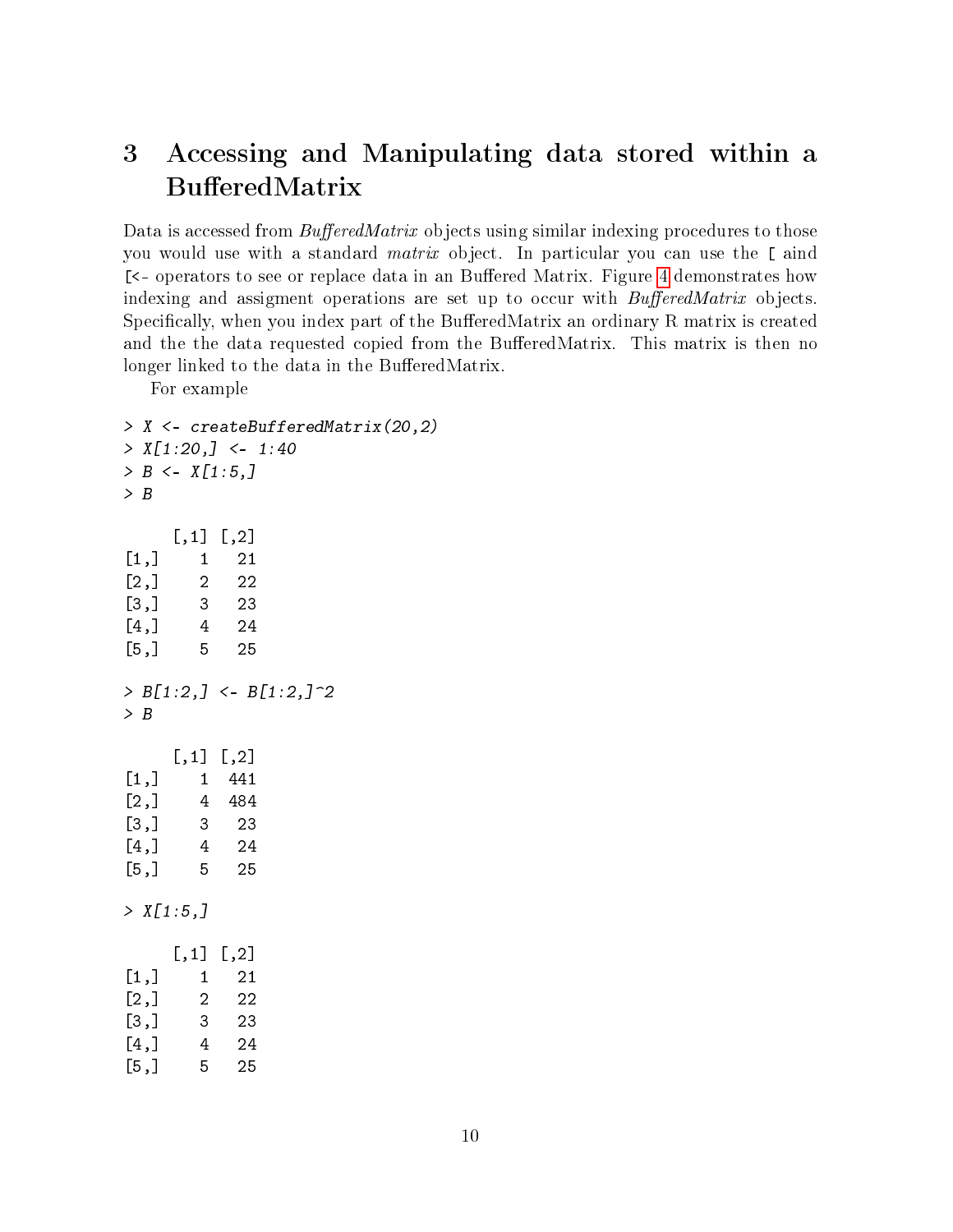## <span id="page-9-0"></span>3 Accessing and Manipulating data stored within a BufferedMatrix

Data is accessed from  $BufferedMatrix$  objects using similar indexing procedures to those you would use with a standard matrix object. In particular you can use the [ aind [<- operators to see or replace data in an Buffered Matrix. Figure [4](#page-8-0) demonstrates how indexing and assigment operations are set up to occur with  $BufferedMatrix$  objects. Specifically, when you index part of the BufferedMatrix an ordinary R matrix is created and the the data requested copied from the BufferedMatrix. This matrix is then no longer linked to the data in the BufferedMatrix.

For example

```
> X <- createBufferedMatrix(20,2)
> X[1:20, ] < -1:40> B \le X[1:5]> B
    [,1] [,2][1,] 1 21
[2,] 2 22[3,] 3 23
[4,] 4 24
[5,] 5 25
> B[1:2, ] < B[1:2, ]> B
    [,1] [,2][1,] 1 441
[2,] 4 484
[3,] 3 23
[4,] 4 24
[5,] 5 25
> X[1:5,][,1] [,2][1,] 1 21
[2,] 2 2[3,] 3 23
[4,] 4 24
[5,] 5 25
```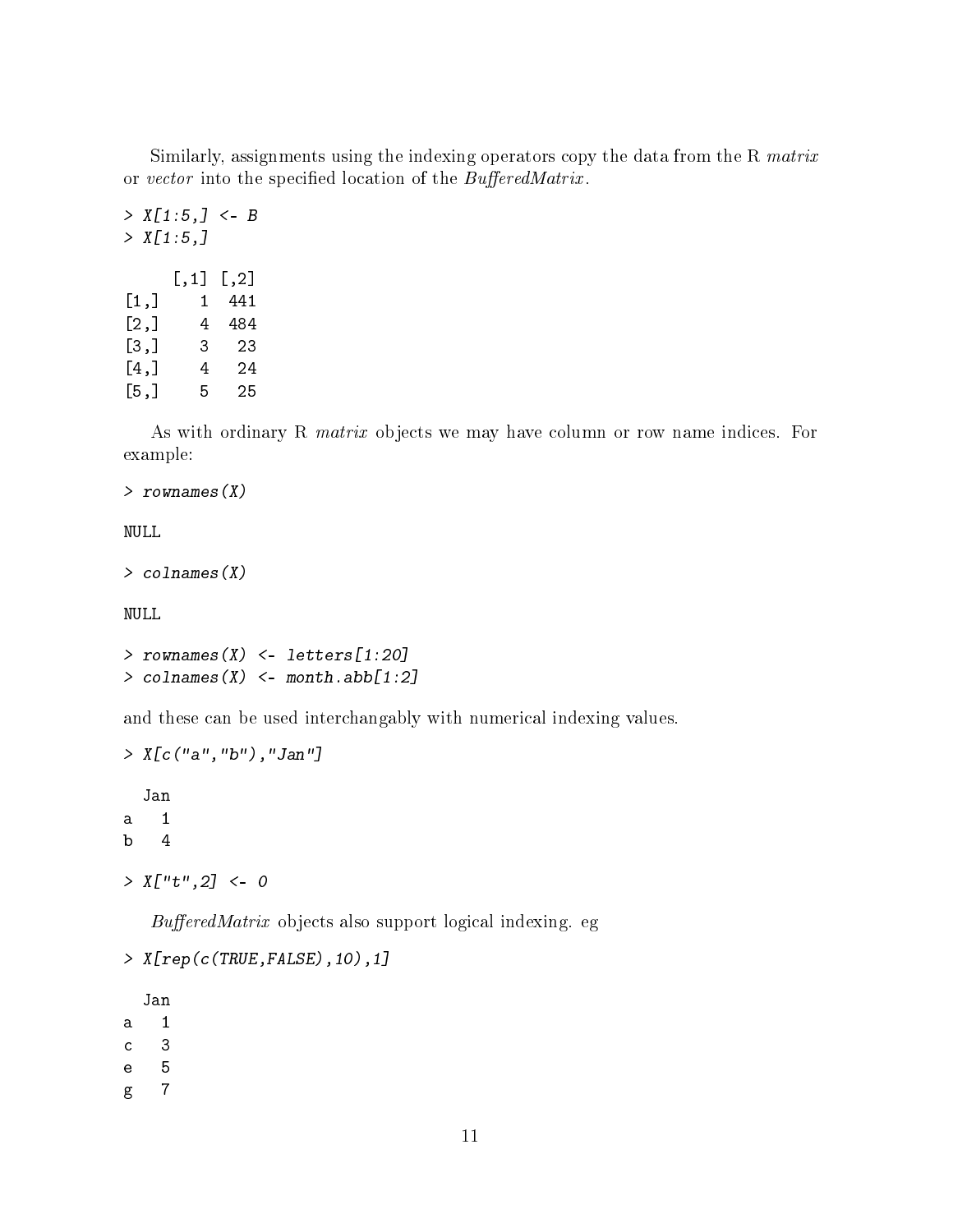Similarly, assignments using the indexing operators copy the data from the R matrix or vector into the specified location of the BufferedMatrix.

 $> X[1:5, ] < B$  $> X[1:5,]$ [,1] [,2]  $[1,]$  1 441 [2,] 4 484 [3,] 3 23 [4,] 4 24 [5,] 5 25

As with ordinary R matrix objects we may have column or row name indices. For example:

> rownames(X)

NULL

```
> colnames(X)
```
NULL

```
> rownames(X) <- letters[1:20]
> colnames(X) \leq month.abb[1:2]
```
and these can be used interchangably with numerical indexing values.

```
> X[c("a","b"),"Jan"]
  Jan
a 1
b 4
> X['t", 2] < -0
```
 $BufferedMatrix$  objects also support logical indexing. eg

```
> X[rep(c(TRUE,FALSE),10),1]
  Jan
a 1
c 3
```

```
e 5
```
g 7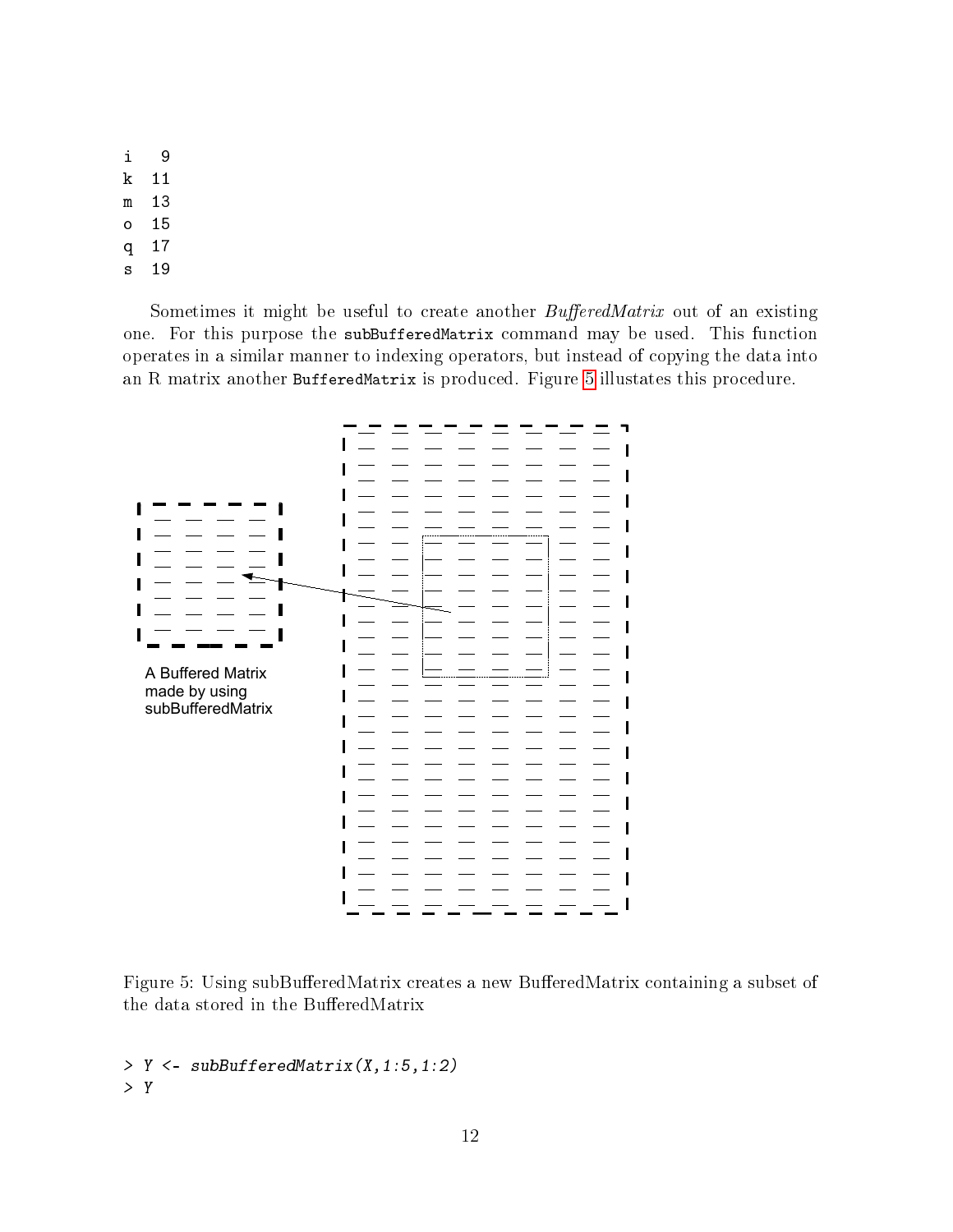- i 9
- k 11
- m 13
- o 15
- q 17
- s 19

Sometimes it might be useful to create another  $BufferedMatrix$  out of an existing one. For this purpose the subBufferedMatrix command may be used. This function operates in a similar manner to indexing operators, but instead of copying the data into an R matrix another BufferedMatrix is produced. Figure [5](#page-11-0) illustates this procedure.



<span id="page-11-0"></span>Figure 5: Using subBufferedMatrix creates a new BufferedMatrix containing a subset of the data stored in the BufferedMatrix

> Y <- subBufferedMatrix(X,1:5,1:2) > Y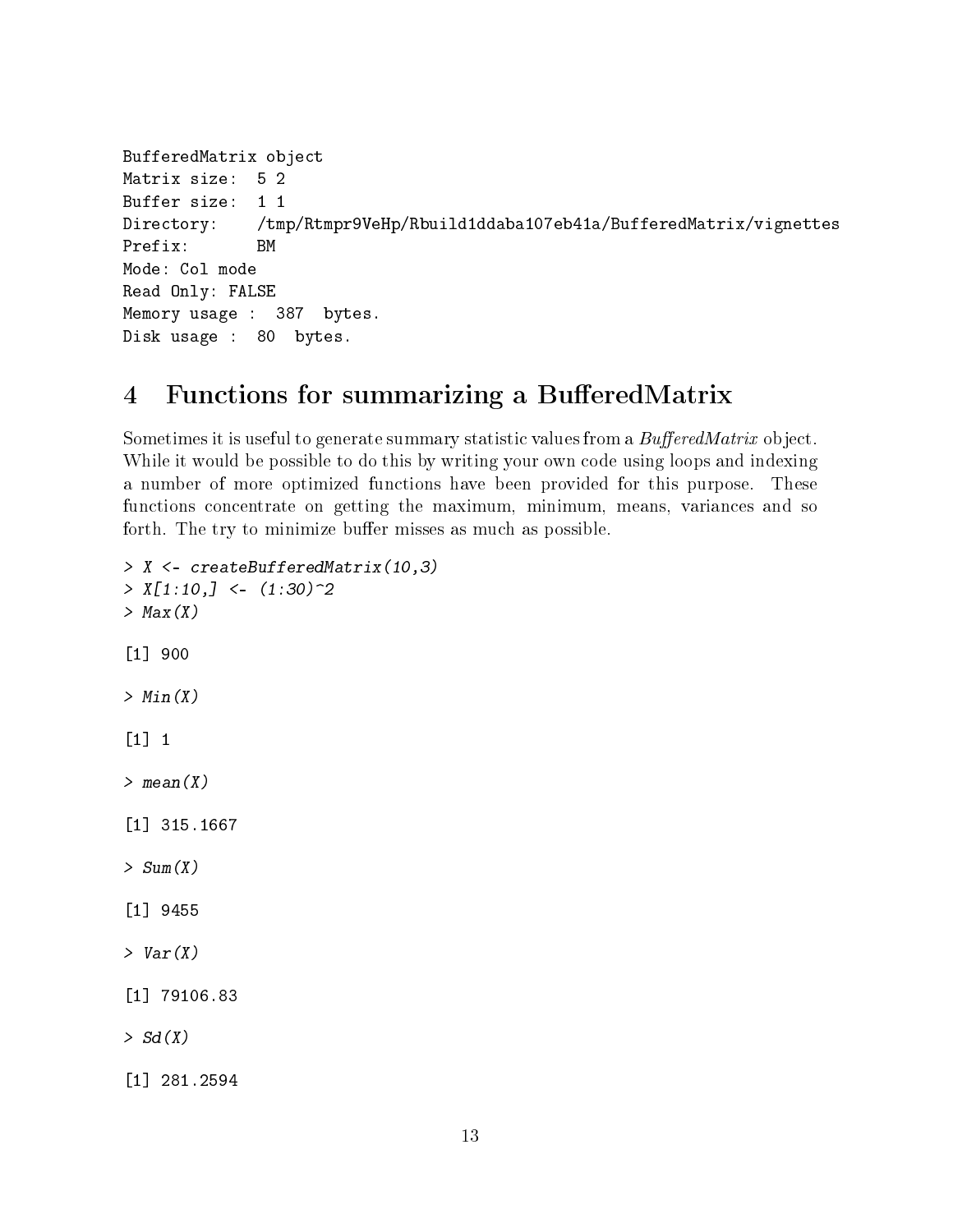```
BufferedMatrix object
Matrix size: 5 2
Buffer size: 1 1
Directory: /tmp/Rtmpr9VeHp/Rbuild1ddaba107eb41a/BufferedMatrix/vignettes
Prefix: BM
Mode: Col mode
Read Only: FALSE
Memory usage : 387 bytes.
Disk usage : 80 bytes.
```
### <span id="page-12-0"></span>4 Functions for summarizing a BufferedMatrix

Sometimes it is useful to generate summary statistic values from a  $BufferedMatrix$  object. While it would be possible to do this by writing your own code using loops and indexing a number of more optimized functions have been provided for this purpose. These functions concentrate on getting the maximum, minimum, means, variances and so forth. The try to minimize buffer misses as much as possible.

```
> X <- createBufferedMatrix(10,3)
> X[1:10, ] < (1:30)^2> Max(X)[1] 900
> Min(X)[1] 1
> mean(X)[1] 315.1667
> Sum(X)[1] 9455
> Var(X)[1] 79106.83
> Sd(X)
[1] 281.2594
```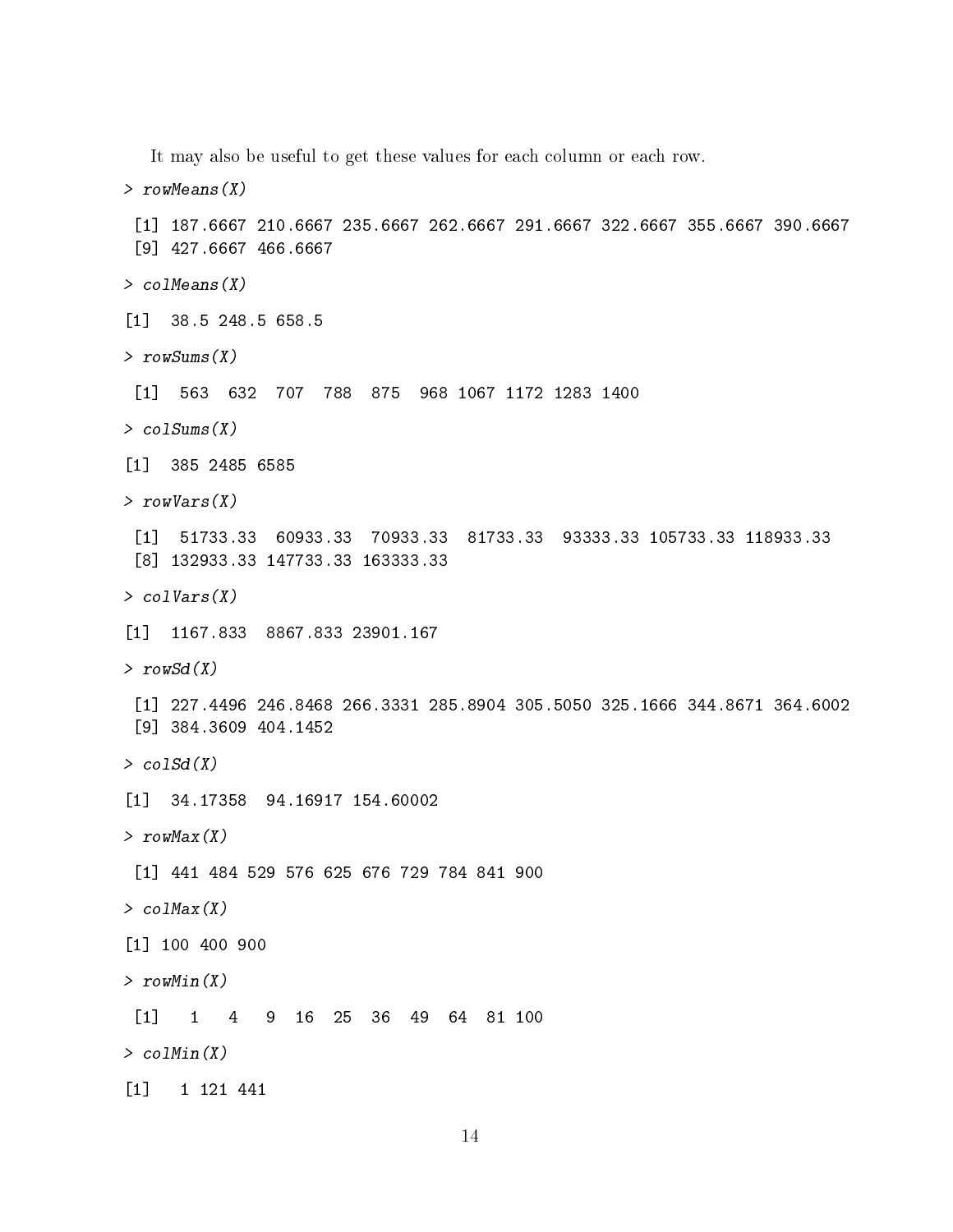It may also be useful to get these values for each column or each row. > rowMeans(X) [1] 187.6667 210.6667 235.6667 262.6667 291.6667 322.6667 355.6667 390.6667 [9] 427.6667 466.6667 > colMeans(X) [1] 38.5 248.5 658.5  $>$  rowSums  $(X)$ [1] 563 632 707 788 875 968 1067 1172 1283 1400 > colSums(X) [1] 385 2485 6585 > rowVars(X) [1] 51733.33 60933.33 70933.33 81733.33 93333.33 105733.33 118933.33 [8] 132933.33 147733.33 163333.33 > colVars(X) [1] 1167.833 8867.833 23901.167  $>$  rowSd(X) [1] 227.4496 246.8468 266.3331 285.8904 305.5050 325.1666 344.8671 364.6002 [9] 384.3609 404.1452  $>$  colSd(X) [1] 34.17358 94.16917 154.60002  $> rowMax(X)$ [1] 441 484 529 576 625 676 729 784 841 900  $>$  colMax $(X)$ [1] 100 400 900  $> rowMin(X)$ [1] 1 4 9 16 25 36 49 64 81 100 > colMin(X) [1] 1 121 441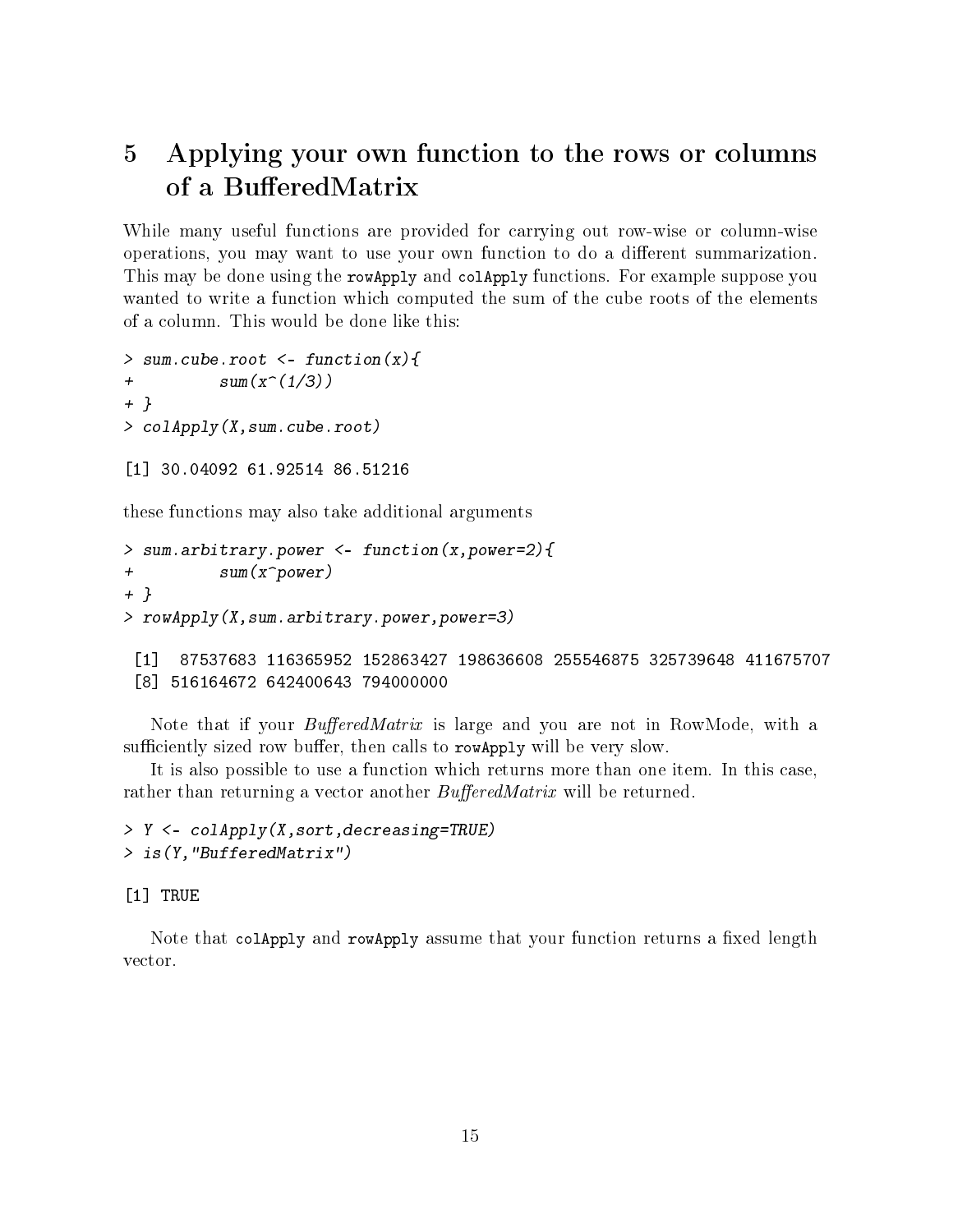# <span id="page-14-0"></span>5 Applying your own function to the rows or columns of a BufferedMatrix

While many useful functions are provided for carrying out row-wise or column-wise operations, you may want to use your own function to do a dierent summarization. This may be done using the rowApply and colApply functions. For example suppose you wanted to write a function which computed the sum of the cube roots of the elements of a column. This would be done like this:

```
> sum.cube.root \leq function(x){
+ sum(x^(1/3))+ }
> colApply(X,sum.cube.root)
[1] 30.04092 61.92514 86.51216
```
these functions may also take additional arguments

```
> sum.arbitrary.power <- function(x,power=2){
+ sum(x^power)
+ }
> rowApply(X,sum.arbitrary.power,power=3)
```

```
[1] 87537683 116365952 152863427 198636608 255546875 325739648 411675707
[8] 516164672 642400643 794000000
```
Note that if your *BufferedMatrix* is large and you are not in RowMode, with a sufficiently sized row buffer, then calls to rowApply will be very slow.

It is also possible to use a function which returns more than one item. In this case, rather than returning a vector another *BufferedMatrix* will be returned.

```
> Y <- colApply(X,sort,decreasing=TRUE)
> is(Y,"BufferedMatrix")
```
[1] TRUE

Note that colapply and rowapply assume that your function returns a fixed length vector.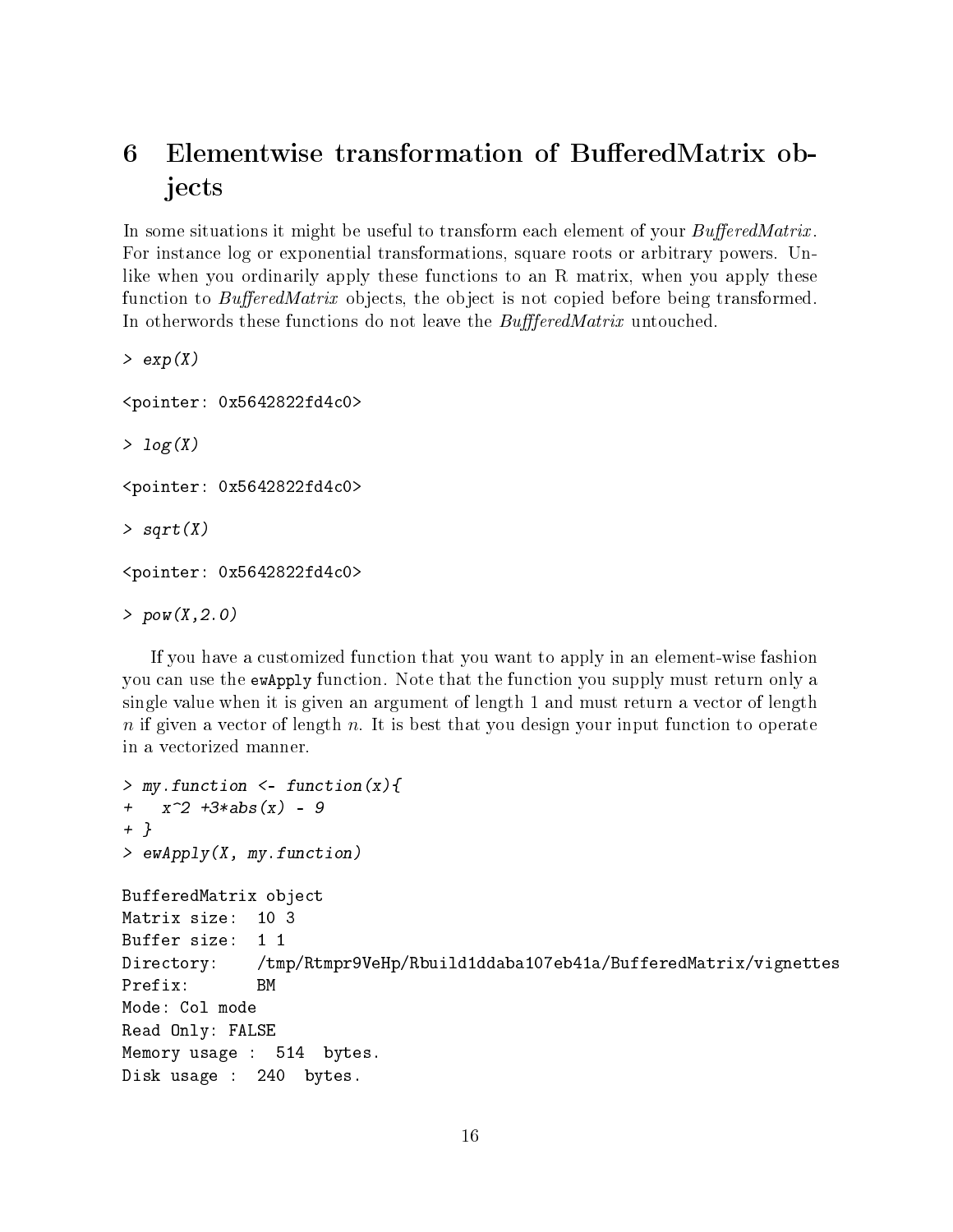## <span id="page-15-0"></span>6 Elementwise transformation of BufferedMatrix objects

In some situations it might be useful to transform each element of your  $BufferedMatrix$ . For instance log or exponential transformations, square roots or arbitrary powers. Unlike when you ordinarily apply these functions to an R matrix, when you apply these function to  $BufferedMatrix$  objects, the object is not copied before being transformed. In otherwords these functions do not leave the BuffferedMatrix untouched.

 $> exp(X)$ <pointer: 0x5642822fd4c0>  $> log(X)$ <pointer: 0x5642822fd4c0>  $>$  sqrt $(X)$ <pointer: 0x5642822fd4c0>  $> pow(X, 2.0)$ 

If you have a customized function that you want to apply in an element-wise fashion you can use the ewApply function. Note that the function you supply must return only a single value when it is given an argument of length 1 and must return a vector of length  $n$  if given a vector of length n. It is best that you design your input function to operate in a vectorized manner.

```
> my.function \leq function(x){
+ x^2 + 3*abs(x) - 9+ }
> ewApply(X, my.function)
BufferedMatrix object
Matrix size: 10 3
Buffer size: 1 1
Directory: /tmp/Rtmpr9VeHp/Rbuild1ddaba107eb41a/BufferedMatrix/vignettes
Prefix: BM
Mode: Col mode
Read Only: FALSE
Memory usage : 514 bytes.
Disk usage : 240 bytes.
```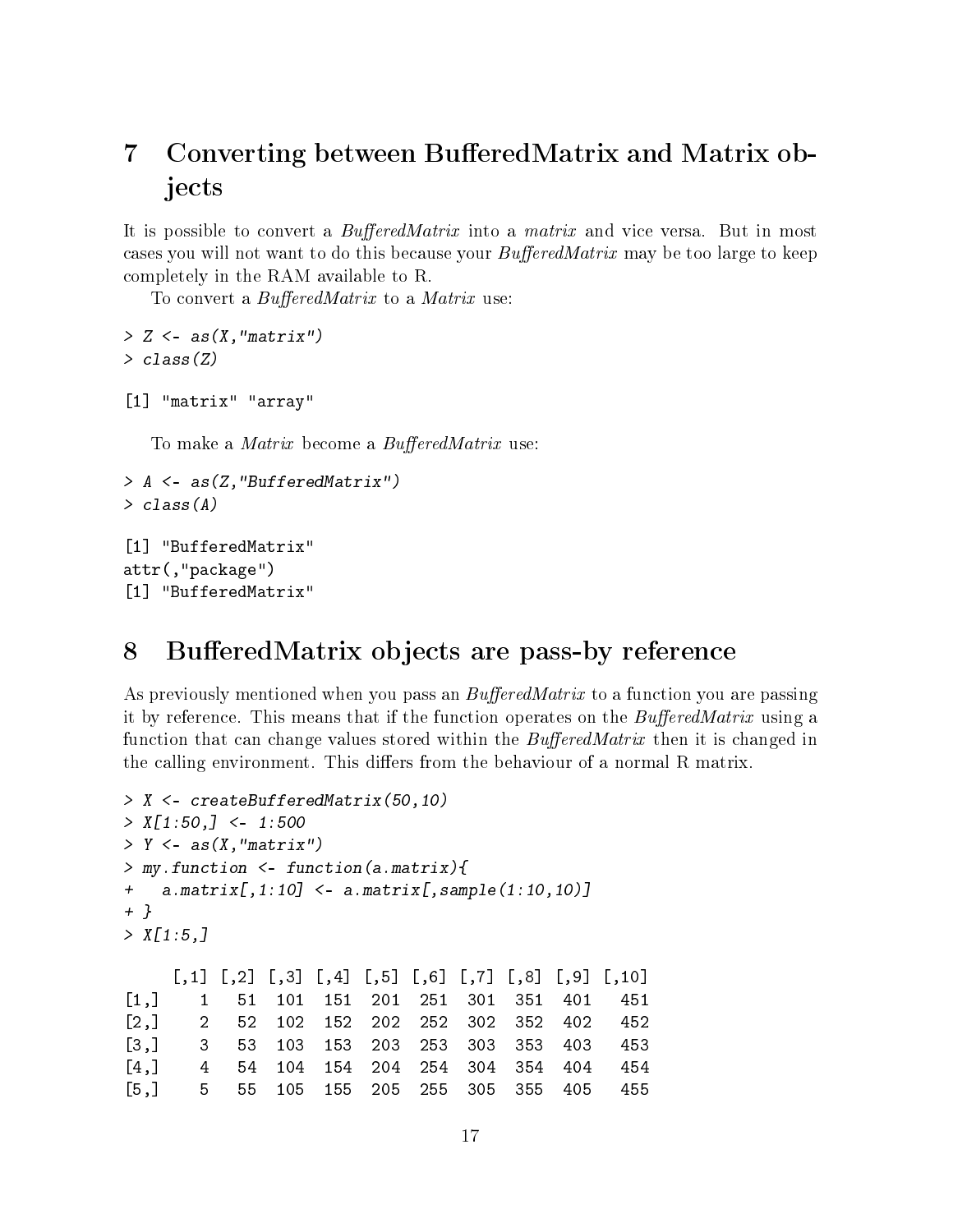# <span id="page-16-0"></span>7 Converting between BufferedMatrix and Matrix objects

It is possible to convert a BufferedMatrix into a matrix and vice versa. But in most cases you will not want to do this because your  $BufferedMatrix$  may be too large to keep completely in the RAM available to R.

To convert a  $BufferedMatrix$  to a Matrix use:

```
> Z < -as(X, "matrix")> class(Z)
[1] "matrix" "array"
  To make a Matrix become a BufferedMatrix use:
> A <- as(Z,"BufferedMatrix")
> class(A)
```

```
[1] "BufferedMatrix"
attr(,"package")
[1] "BufferedMatrix"
```
## <span id="page-16-1"></span>8 BufferedMatrix objects are pass-by reference

As previously mentioned when you pass an  $BufferedMatrix$  to a function you are passing it by reference. This means that if the function operates on the  $BufferedMatrix$  using a function that can change values stored within the  $BufferedMatrix$  then it is changed in the calling environment. This differs from the behaviour of a normal R matrix.

```
> X <- createBufferedMatrix(50,10)
> X[1:50, ] < -1:500> Y \leq as (X, "matrix")> my.function <- function(a.matrix){
+ a.matrix[,1:10] <- a.matrix[,sample(1:10,10)]
+ }
> X[1:5, 1]\begin{bmatrix} 0.1 \end{bmatrix} \begin{bmatrix} 0.2 \end{bmatrix} \begin{bmatrix} 0.3 \end{bmatrix} \begin{bmatrix} 0.4 \end{bmatrix} \begin{bmatrix} 0.5 \end{bmatrix} \begin{bmatrix} 0.6 \end{bmatrix} \begin{bmatrix} 0.7 \end{bmatrix} \begin{bmatrix} 0.8 \end{bmatrix} \begin{bmatrix} 0.9 \end{bmatrix} \begin{bmatrix} 0.10 \end{bmatrix}[1,] 1 51 101 151 201 251 301 351 401 451
[2,] 2 52 102 152 202 252 302 352 402 452
[3,] 3 53 103 153 203 253 303 353 403 453
[4,] 4 54 104 154 204 254 304 354 404 454
[5,] 5 55 105 155 205 255 305 355 405 455
```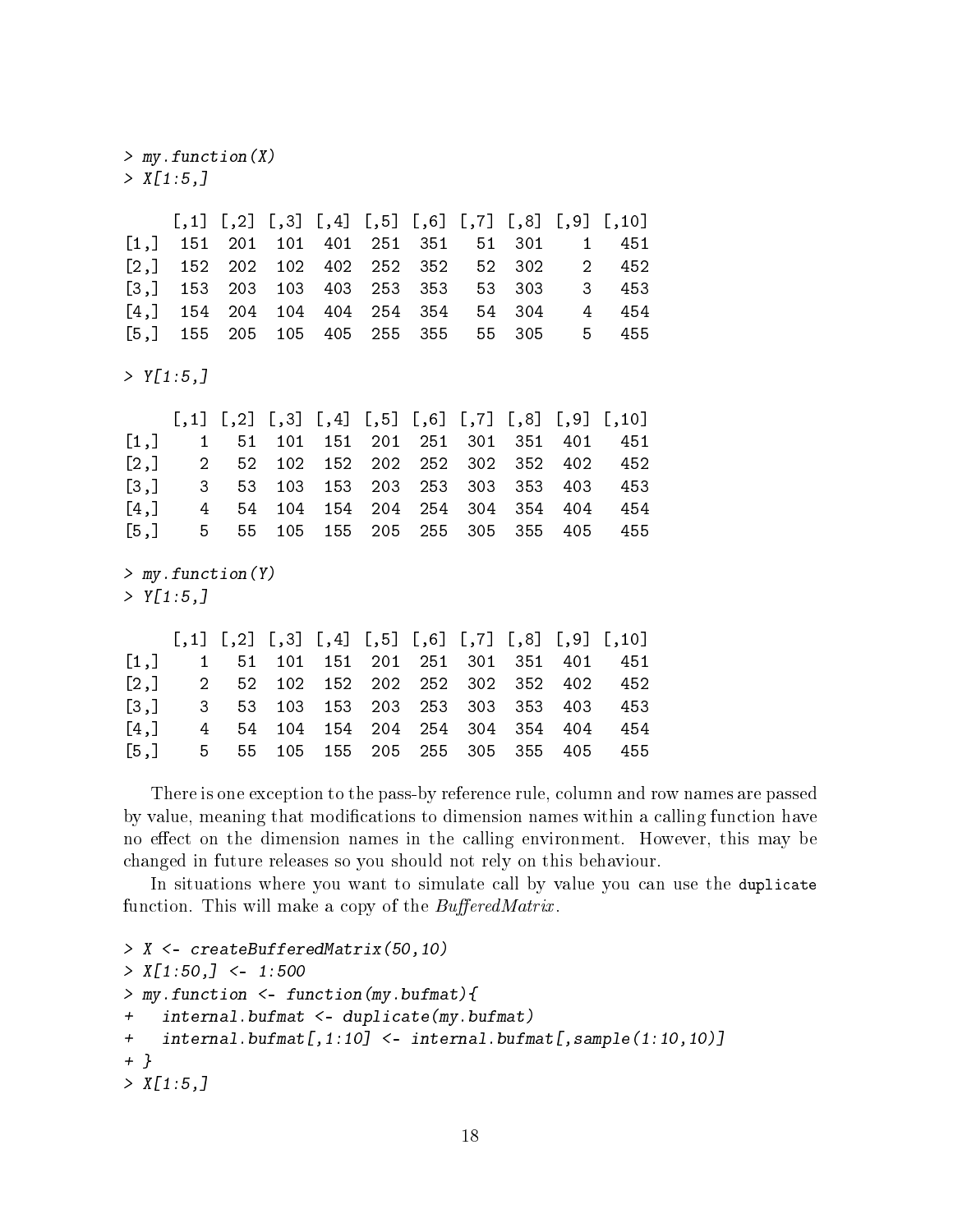[5,] 5 55 105 155 205 255 305 355 405 455

There is one exception to the pass-by reference rule, column and row names are passed by value, meaning that modifications to dimension names within a calling function have no effect on the dimension names in the calling environment. However, this may be changed in future releases so you should not rely on this behaviour.

In situations where you want to simulate call by value you can use the duplicate function. This will make a copy of the  $BufferedMatrix$ .

```
> X <- createBufferedMatrix(50,10)
> X[1:50,] <- 1:500
> my.function <- function(my.bufmat){
+ internal.bufmat <- duplicate(my.bufmat)
+ internal.bufmat[,1:10] <- internal.bufmat[,sample(1:10,10)]
+ }
> X[1:5,]
```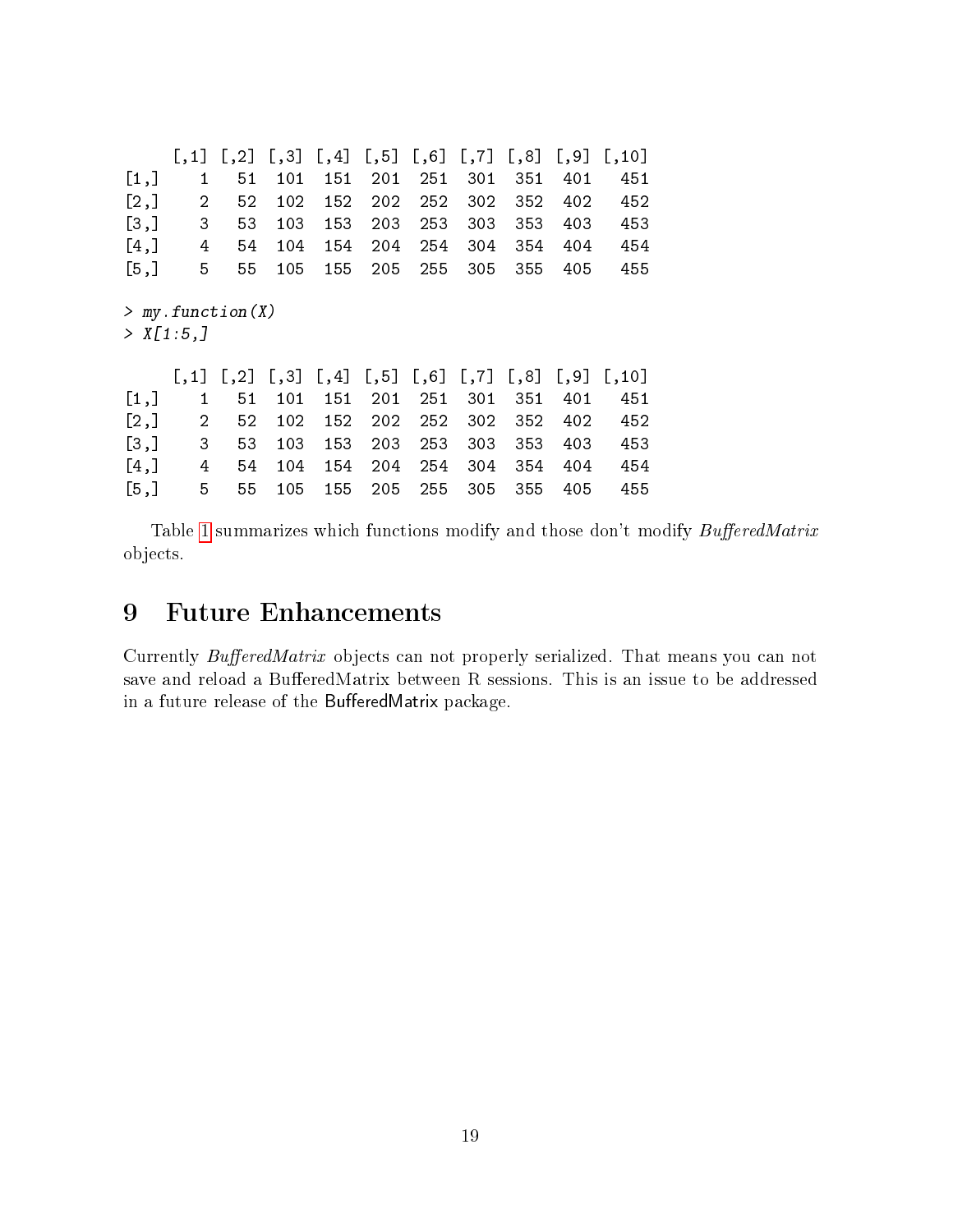|           | [, 1]                | $\left[ \frac{1}{2} \right]$ | $\left[ \begin{array}{c} 1, 3 \end{array} \right]$ | [, 4]        | $\left[ \begin{array}{c} 5 \end{array} \right]$ | [, 6] | $\left[1, 7\right]$   | [,8]    | $[$ , 9] | [,10]  |
|-----------|----------------------|------------------------------|----------------------------------------------------|--------------|-------------------------------------------------|-------|-----------------------|---------|----------|--------|
| [1,]      | 1                    | 51                           | 101                                                | 151          | 201                                             | 251   | 301                   | 351     | 401      | 451    |
| [2,]      | $\overline{2}$       | 52                           | 102                                                | 152          | 202                                             | 252   | 302                   | 352     | 402      | 452    |
| [3,]      | 3                    | 53                           | 103                                                | 153          | 203                                             | 253   | 303                   | 353     | 403      | 453    |
| [4,]      | 4                    | 54                           | 104                                                | 154          | 204                                             | 254   | 304                   | 354     | 404      | 454    |
| [5,]      | 5                    | 55                           | 105                                                | 155          | 205                                             | 255   | 305                   | 355     | 405      | 455    |
| > X[1:5.] | > my.function(X)     |                              |                                                    |              |                                                 |       |                       |         |          |        |
|           | $\lfloor .1 \rfloor$ | $\lbrack 0, 2 \rbrack$       | [, 3]                                              | $[, 4]$ [,5] |                                                 | [, 6] | $\left[ 7, 7 \right]$ | $[$ ,8] | $[$ , 9] | [, 10] |
| [1,]      | 1                    | 51                           | 101                                                | 151          | 201                                             | 251   | 301                   | 351     | 401      | 451    |
| [2,]      | $\overline{2}$       | 52                           | 102                                                | 152          | 202                                             | 252   | 302                   | 352     | 402      | 452    |
| [3,]      | 3                    | 53                           | 103                                                | 153          | 203                                             | 253   | 303                   | 353     | 403      | 453    |
|           |                      |                              |                                                    |              |                                                 |       |                       |         |          |        |
| [4,]      | 4                    | 54                           | 104                                                | 154          | 204                                             | 254   | 304                   | 354     | 404      | 454    |

Table [1](#page-19-0) summarizes which functions modify and those don't modify  $BufferedMatrix$ objects.

## <span id="page-18-0"></span>9 Future Enhancements

Currently BufferedMatrix objects can not properly serialized. That means you can not save and reload a BufferedMatrix between R sessions. This is an issue to be addressed in a future release of the BufferedMatrix package.